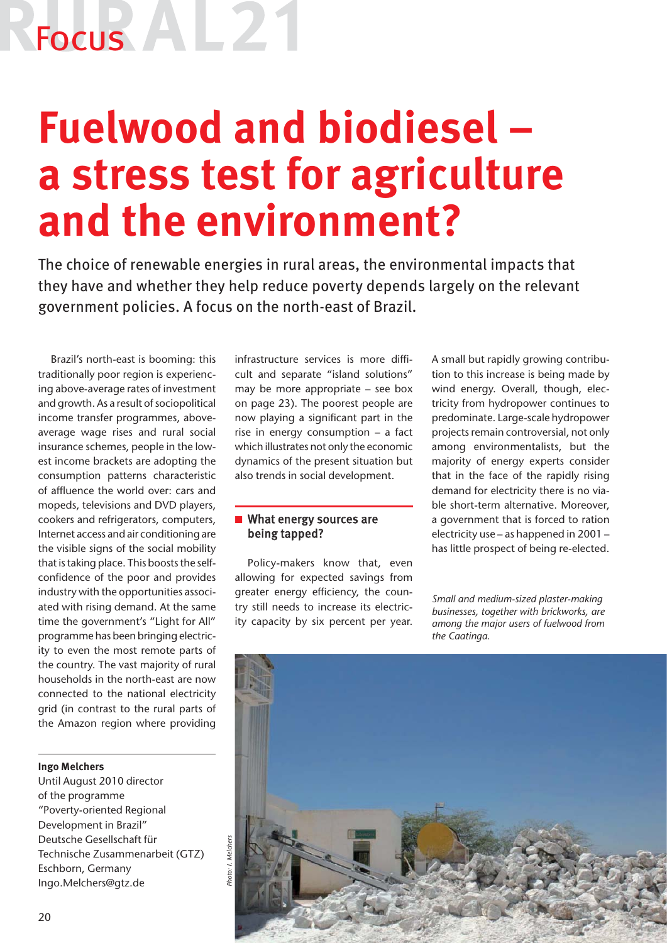# Focus<sup>1</sup>

### **Fuelwood and biodiesel – a stress test for agriculture and the environment?**

The choice of renewable energies in rural areas, the environmental impacts that they have and whether they help reduce poverty depends largely on the relevant government policies. A focus on the north-east of Brazil.

Brazil's north-east is booming: this traditionally poor region is experiencing above-average rates of investment and growth. As a result of sociopolitical income transfer programmes, aboveaverage wage rises and rural social insurance schemes, people in the lowest income brackets are adopting the consumption patterns characteristic of affluence the world over: cars and mopeds, televisions and DVD players, cookers and refrigerators, computers, Internet access and air conditioning are the visible signs of the social mobility that is taking place. This boosts the selfconfidence of the poor and provides industry with the opportunities associated with rising demand. At the same time the government's "Light for All" programme has been bringing electricity to even the most remote parts of the country. The vast majority of rural households in the north-east are now connected to the national electricity grid (in contrast to the rural parts of the Amazon region where providing

#### **Ingo Melchers**

Until August 2010 director of the programme "Poverty-oriented Regional Development in Brazil" Deutsche Gesellschaft für Technische Zusammenarbeit (GTZ) Eschborn, Germany Ingo.Melchers@gtz.de

infrastructure services is more difficult and separate "island solutions" may be more appropriate – see box on page 23). The poorest people are now playing a significant part in the rise in energy consumption – a fact which illustrates not only the economic dynamics of the present situation but also trends in social development.

#### $\blacksquare$  What energy sources are being tapped?

Policy-makers know that, even allowing for expected savings from greater energy efficiency, the country still needs to increase its electricity capacity by six percent per year. A small but rapidly growing contribution to this increase is being made by wind energy. Overall, though, electricity from hydropower continues to predominate. Large-scale hydropower projects remain controversial, not only among environmentalists, but the majority of energy experts consider that in the face of the rapidly rising demand for electricity there is no viable short-term alternative. Moreover, a government that is forced to ration electricity use – as happened in 2001 – has little prospect of being re-elected.

*Small and medium-sized plaster-making businesses, together with brickworks, are among the major users of fuelwood from the Caatinga.* 

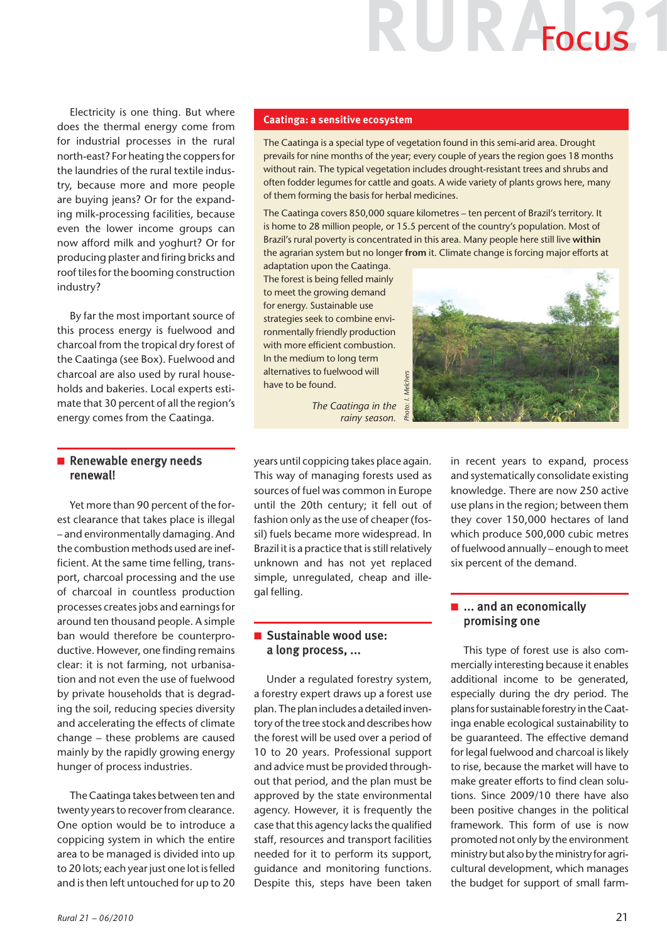## R Focus

Electricity is one thing. But where does the thermal energy come from for industrial processes in the rural north-east? For heating the coppers for the laundries of the rural textile industry, because more and more people are buying jeans? Or for the expanding milk-processing facilities, because even the lower income groups can now afford milk and yoghurt? Or for producing plaster and firing bricks and roof tiles for the booming construction industry?

By far the most important source of this process energy is fuelwood and charcoal from the tropical dry forest of the Caatinga (see Box). Fuelwood and charcoal are also used by rural households and bakeries. Local experts estimate that 30 percent of all the region's energy comes from the Caatinga.

#### Renewable energy needs renewal!

Yet more than 90 percent of the forest clearance that takes place is illegal – and environmentally damaging. And the combustion methods used are inefficient. At the same time felling, transport, charcoal processing and the use of charcoal in countless production processes creates jobs and earnings for around ten thousand people. A simple ban would therefore be counterproductive. However, one finding remains clear: it is not farming, not urbanisation and not even the use of fuelwood by private households that is degrading the soil, reducing species diversity and accelerating the effects of climate change – these problems are caused mainly by the rapidly growing energy hunger of process industries.

The Caatinga takes between ten and twenty years to recover from clearance. One option would be to introduce a coppicing system in which the entire area to be managed is divided into up to 20 lots; each year just one lot is felled and is then left untouched for up to 20

#### **Caatinga: a sensitive ecosystem**

The Caatinga is a special type of vegetation found in this semi-arid area. Drought prevails for nine months of the year; every couple of years the region goes 18 months without rain. The typical vegetation includes drought-resistant trees and shrubs and often fodder legumes for cattle and goats. A wide variety of plants grows here, many of them forming the basis for herbal medicines.

The Caatinga covers 850,000 square kilometres – ten percent of Brazil's territory. It is home to 28 million people, or 15.5 percent of the country's population. Most of Brazil's rural poverty is concentrated in this area. Many people here still live **within** the agrarian system but no longer **from** it. Climate change is forcing major efforts at

adaptation upon the Caatinga. The forest is being felled mainly to meet the growing demand for energy. Sustainable use strategies seek to combine environmentally friendly production with more efficient combustion. In the medium to long term alternatives to fuelwood will have to be found.



*The Caatinga in the*  Photo: *rainy season.* 

years until coppicing takes place again. This way of managing forests used as sources of fuel was common in Europe until the 20th century; it fell out of fashion only as the use of cheaper (fossil) fuels became more widespread. In Brazil it is a practice that is still relatively unknown and has not yet replaced simple, unregulated, cheap and illegal felling.

#### $\blacksquare$  Sustainable wood use: a long process, ...

Under a regulated forestry system, a forestry expert draws up a forest use plan. The plan includes a detailed inventory of the tree stock and describes how the forest will be used over a period of 10 to 20 years. Professional support and advice must be provided throughout that period, and the plan must be approved by the state environmental agency. However, it is frequently the case that this agency lacks the qualified staff, resources and transport facilities needed for it to perform its support, guidance and monitoring functions. Despite this, steps have been taken in recent years to expand, process and systematically consolidate existing knowledge. There are now 250 active use plans in the region; between them they cover 150,000 hectares of land which produce 500,000 cubic metres of fuelwood annually – enough to meet six percent of the demand.

#### $\blacksquare$  ... and an economically promising one

This type of forest use is also commercially interesting because it enables additional income to be generated, especially during the dry period. The plans for sustainable forestry in the Caatinga enable ecological sustainability to be guaranteed. The effective demand for legal fuelwood and charcoal is likely to rise, because the market will have to make greater efforts to find clean solutions. Since 2009/10 there have also been positive changes in the political framework. This form of use is now promoted not only by the environment ministry but also by the ministry for agricultural development, which manages the budget for support of small farm-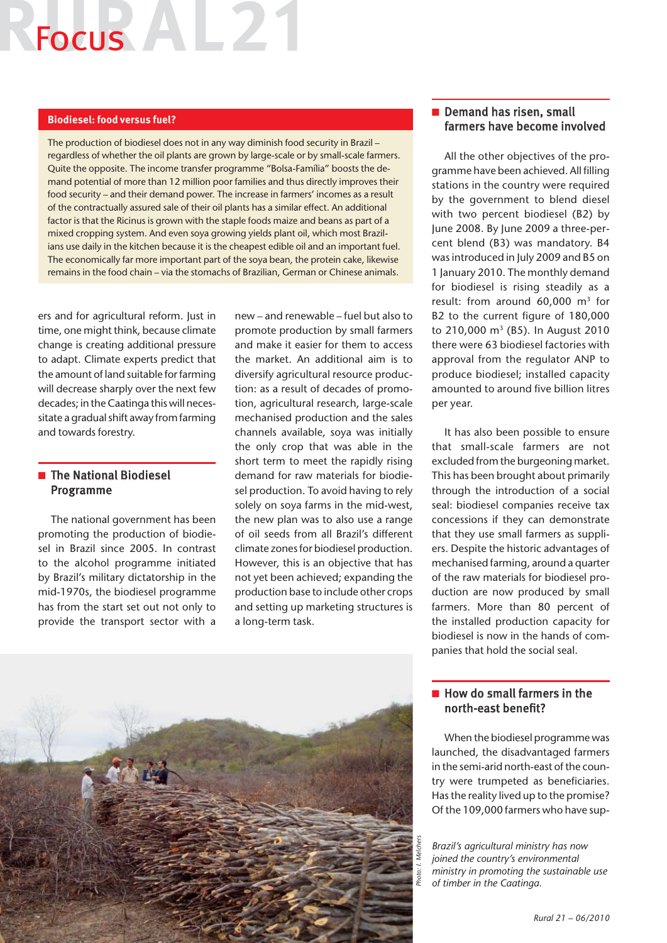### Focus **A**  $\mathbb{L}$

#### **Biodiesel: food versus fuel?**

The production of biodiesel does not in any way diminish food security in Brazil – regardless of whether the oil plants are grown by large-scale or by small-scale farmers. Quite the opposite. The income transfer programme "Bolsa-Família" boosts the demand potential of more than 12 million poor families and thus directly improves their food security – and their demand power. The increase in farmers' incomes as a result of the contractually assured sale of their oil plants has a similar effect. An additional factor is that the Ricinus is grown with the staple foods maize and beans as part of a mixed cropping system. And even soya growing yields plant oil, which most Brazilians use daily in the kitchen because it is the cheapest edible oil and an important fuel. The economically far more important part of the soya bean, the protein cake, likewise remains in the food chain – via the stomachs of Brazilian, German or Chinese animals.

ers and for agricultural reform. Just in time, one might think, because climate change is creating additional pressure to adapt. Climate experts predict that the amount of land suitable for farming will decrease sharply over the next few decades; in the Caatinga this will necessitate a gradual shift away from farming and towards forestry.

#### $\blacksquare$  The National Biodiesel Programme

The national government has been promoting the production of biodiesel in Brazil since 2005. In contrast to the alcohol programme initiated by Brazil's military dictatorship in the mid-1970s, the biodiesel programme has from the start set out not only to provide the transport sector with a new – and renewable – fuel but also to promote production by small farmers and make it easier for them to access the market. An additional aim is to diversify agricultural resource production: as a result of decades of promotion, agricultural research, large-scale mechanised production and the sales channels available, soya was initially the only crop that was able in the short term to meet the rapidly rising demand for raw materials for biodiesel production. To avoid having to rely solely on soya farms in the mid-west, the new plan was to also use a range of oil seeds from all Brazil's different climate zones for biodiesel production. However, this is an objective that has not yet been achieved; expanding the production base to include other crops and setting up marketing structures is a long-term task.

#### Demand has risen, small farmers have become involved

All the other objectives of the programme have been achieved. All filling stations in the country were required by the government to blend diesel with two percent biodiesel (B2) by June 2008. By June 2009 a three-percent blend (B3) was mandatory. B4 was introduced in July 2009 and B5 on 1 January 2010. The monthly demand for biodiesel is rising steadily as a result: from around  $60,000$  m<sup>3</sup> for B2 to the current figure of 180,000 to 210,000 m3 (B5). In August 2010 there were 63 biodiesel factories with approval from the regulator ANP to produce biodiesel; installed capacity amounted to around five billion litres per year.

It has also been possible to ensure that small-scale farmers are not excluded from the burgeoning market. This has been brought about primarily through the introduction of a social seal: biodiesel companies receive tax concessions if they can demonstrate that they use small farmers as suppliers. Despite the historic advantages of mechanised farming, around a quarter of the raw materials for biodiesel production are now produced by small farmers. More than 80 percent of the installed production capacity for biodiesel is now in the hands of companies that hold the social seal.

#### $\blacksquare$  How do small farmers in the north-east benefit?

When the biodiesel programme was launched, the disadvantaged farmers in the semi-arid north-east of the country were trumpeted as beneficiaries. Has the reality lived up to the promise? Of the 109,000 farmers who have sup-

*Brazil's agricultural ministry has now joined the country's environmental ministry in promoting the sustainable use of timber in the Caatinga.*

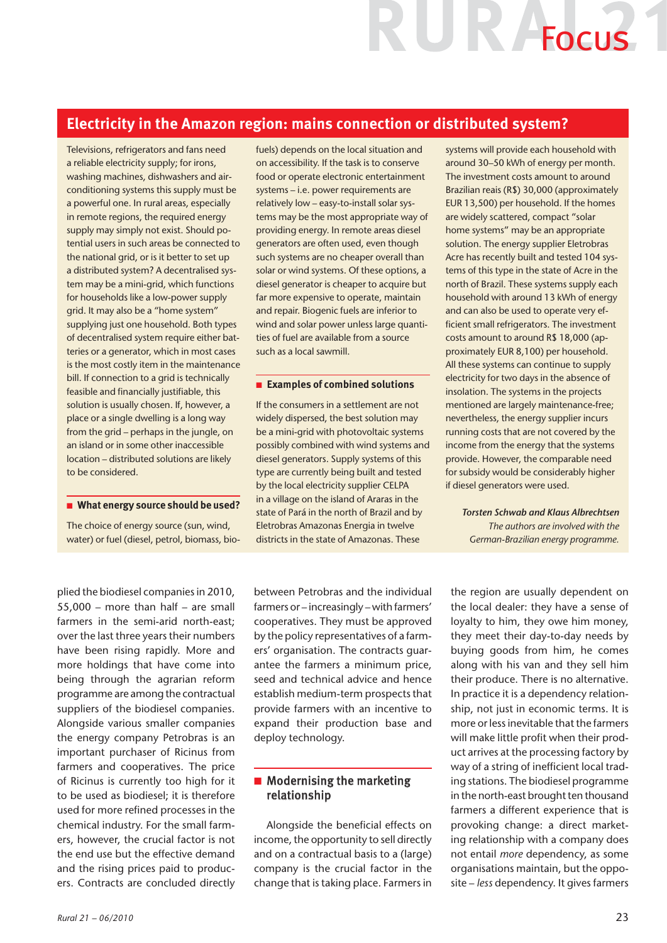## UR AFOCUS

#### **Electricity in the Amazon region: mains connection or distributed system?**

Televisions, refrigerators and fans need a reliable electricity supply; for irons, washing machines, dishwashers and airconditioning systems this supply must be a powerful one. In rural areas, especially in remote regions, the required energy supply may simply not exist. Should potential users in such areas be connected to the national grid, or is it better to set up a distributed system? A decentralised system may be a mini-grid, which functions for households like a low-power supply grid. It may also be a "home system" supplying just one household. Both types of decentralised system require either batteries or a generator, which in most cases is the most costly item in the maintenance bill. If connection to a grid is technically feasible and financially justifiable, this solution is usually chosen. If, however, a place or a single dwelling is a long way from the grid – perhaps in the jungle, on an island or in some other inaccessible location – distributed solutions are likely to be considered.

#### **n** What energy source should be used?

The choice of energy source (sun, wind, water) or fuel (diesel, petrol, biomass, biofuels) depends on the local situation and on accessibility. If the task is to conserve food or operate electronic entertainment systems – i.e. power requirements are relatively low – easy-to-install solar systems may be the most appropriate way of providing energy. In remote areas diesel generators are often used, even though such systems are no cheaper overall than solar or wind systems. Of these options, a diesel generator is cheaper to acquire but far more expensive to operate, maintain and repair. Biogenic fuels are inferior to wind and solar power unless large quantities of fuel are available from a source such as a local sawmill.

#### n **Examples of combined solutions**

If the consumers in a settlement are not widely dispersed, the best solution may be a mini-grid with photovoltaic systems possibly combined with wind systems and diesel generators. Supply systems of this type are currently being built and tested by the local electricity supplier CELPA in a village on the island of Araras in the state of Pará in the north of Brazil and by Eletrobras Amazonas Energia in twelve districts in the state of Amazonas. These

systems will provide each household with around 30–50 kWh of energy per month. The investment costs amount to around Brazilian reais (R\$) 30,000 (approximately EUR 13,500) per household. If the homes are widely scattered, compact "solar home systems" may be an appropriate solution. The energy supplier Eletrobras Acre has recently built and tested 104 systems of this type in the state of Acre in the north of Brazil. These systems supply each household with around 13 kWh of energy and can also be used to operate very efficient small refrigerators. The investment costs amount to around R\$ 18,000 (approximately EUR 8,100) per household. All these systems can continue to supply electricity for two days in the absence of insolation. The systems in the projects mentioned are largely maintenance-free; nevertheless, the energy supplier incurs running costs that are not covered by the income from the energy that the systems provide. However, the comparable need for subsidy would be considerably higher if diesel generators were used.

*Torsten Schwab and Klaus Albrechtsen The authors are involved with the German-Brazilian energy programme.* 

plied the biodiesel companies in 2010, 55,000 – more than half – are small farmers in the semi-arid north-east; over the last three years their numbers have been rising rapidly. More and more holdings that have come into being through the agrarian reform programme are among the contractual suppliers of the biodiesel companies. Alongside various smaller companies the energy company Petrobras is an important purchaser of Ricinus from farmers and cooperatives. The price of Ricinus is currently too high for it to be used as biodiesel; it is therefore used for more refined processes in the chemical industry. For the small farmers, however, the crucial factor is not the end use but the effective demand and the rising prices paid to producers. Contracts are concluded directly

between Petrobras and the individual farmers or – increasingly – with farmers' cooperatives. They must be approved by the policy representatives of a farmers' organisation. The contracts guarantee the farmers a minimum price, seed and technical advice and hence establish medium-term prospects that provide farmers with an incentive to expand their production base and deploy technology.

#### $\blacksquare$  Modernising the marketing relationship

Alongside the beneficial effects on income, the opportunity to sell directly and on a contractual basis to a (large) company is the crucial factor in the change that is taking place. Farmers in the region are usually dependent on the local dealer: they have a sense of loyalty to him, they owe him money, they meet their day-to-day needs by buying goods from him, he comes along with his van and they sell him their produce. There is no alternative. In practice it is a dependency relationship, not just in economic terms. It is more or less inevitable that the farmers will make little profit when their product arrives at the processing factory by way of a string of inefficient local trading stations. The biodiesel programme in the north-east brought ten thousand farmers a different experience that is provoking change: a direct marketing relationship with a company does not entail *more* dependency, as some organisations maintain, but the opposite – *less* dependency. It gives farmers